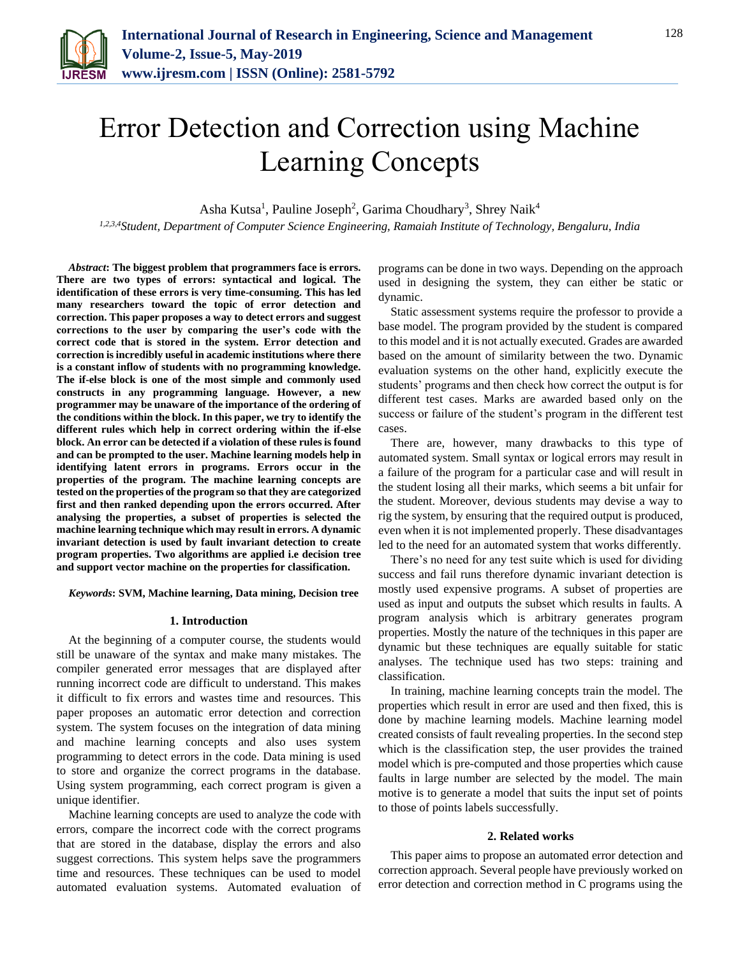

# Error Detection and Correction using Machine Learning Concepts

Asha Kutsa<sup>1</sup>, Pauline Joseph<sup>2</sup>, Garima Choudhary<sup>3</sup>, Shrey Naik<sup>4</sup>

*1,2,3,4Student, Department of Computer Science Engineering, Ramaiah Institute of Technology, Bengaluru, India*

*Abstract***: The biggest problem that programmers face is errors. There are two types of errors: syntactical and logical. The identification of these errors is very time-consuming. This has led many researchers toward the topic of error detection and correction. This paper proposes a way to detect errors and suggest corrections to the user by comparing the user's code with the correct code that is stored in the system. Error detection and correction is incredibly useful in academic institutions where there is a constant inflow of students with no programming knowledge. The if-else block is one of the most simple and commonly used constructs in any programming language. However, a new programmer may be unaware of the importance of the ordering of the conditions within the block. In this paper, we try to identify the different rules which help in correct ordering within the if-else block. An error can be detected if a violation of these rules is found and can be prompted to the user. Machine learning models help in identifying latent errors in programs. Errors occur in the properties of the program. The machine learning concepts are tested on the properties of the program so that they are categorized first and then ranked depending upon the errors occurred. After analysing the properties, a subset of properties is selected the machine learning technique which may result in errors. A dynamic invariant detection is used by fault invariant detection to create program properties. Two algorithms are applied i.e decision tree and support vector machine on the properties for classification.**

*Keywords***: SVM, Machine learning, Data mining, Decision tree**

#### **1. Introduction**

At the beginning of a computer course, the students would still be unaware of the syntax and make many mistakes. The compiler generated error messages that are displayed after running incorrect code are difficult to understand. This makes it difficult to fix errors and wastes time and resources. This paper proposes an automatic error detection and correction system. The system focuses on the integration of data mining and machine learning concepts and also uses system programming to detect errors in the code. Data mining is used to store and organize the correct programs in the database. Using system programming, each correct program is given a unique identifier.

Machine learning concepts are used to analyze the code with errors, compare the incorrect code with the correct programs that are stored in the database, display the errors and also suggest corrections. This system helps save the programmers time and resources. These techniques can be used to model automated evaluation systems. Automated evaluation of programs can be done in two ways. Depending on the approach used in designing the system, they can either be static or dynamic.

Static assessment systems require the professor to provide a base model. The program provided by the student is compared to this model and it is not actually executed. Grades are awarded based on the amount of similarity between the two. Dynamic evaluation systems on the other hand, explicitly execute the students' programs and then check how correct the output is for different test cases. Marks are awarded based only on the success or failure of the student's program in the different test cases.

There are, however, many drawbacks to this type of automated system. Small syntax or logical errors may result in a failure of the program for a particular case and will result in the student losing all their marks, which seems a bit unfair for the student. Moreover, devious students may devise a way to rig the system, by ensuring that the required output is produced, even when it is not implemented properly. These disadvantages led to the need for an automated system that works differently.

There's no need for any test suite which is used for dividing success and fail runs therefore dynamic invariant detection is mostly used expensive programs. A subset of properties are used as input and outputs the subset which results in faults. A program analysis which is arbitrary generates program properties. Mostly the nature of the techniques in this paper are dynamic but these techniques are equally suitable for static analyses. The technique used has two steps: training and classification.

In training, machine learning concepts train the model. The properties which result in error are used and then fixed, this is done by machine learning models. Machine learning model created consists of fault revealing properties. In the second step which is the classification step, the user provides the trained model which is pre-computed and those properties which cause faults in large number are selected by the model. The main motive is to generate a model that suits the input set of points to those of points labels successfully.

#### **2. Related works**

This paper aims to propose an automated error detection and correction approach. Several people have previously worked on error detection and correction method in C programs using the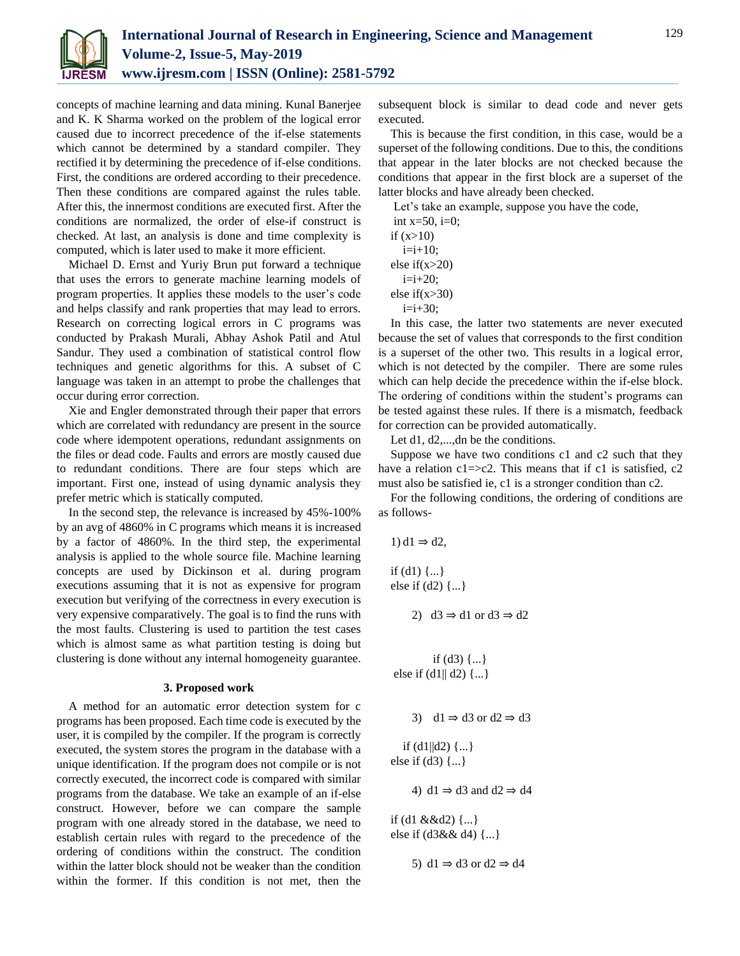

concepts of machine learning and data mining. Kunal Banerjee and K. K Sharma worked on the problem of the logical error caused due to incorrect precedence of the if-else statements which cannot be determined by a standard compiler. They rectified it by determining the precedence of if-else conditions. First, the conditions are ordered according to their precedence. Then these conditions are compared against the rules table. After this, the innermost conditions are executed first. After the conditions are normalized, the order of else-if construct is checked. At last, an analysis is done and time complexity is computed, which is later used to make it more efficient.

Michael D. Ernst and Yuriy Brun put forward a technique that uses the errors to generate machine learning models of program properties. It applies these models to the user's code and helps classify and rank properties that may lead to errors. Research on correcting logical errors in C programs was conducted by Prakash Murali, Abhay Ashok Patil and Atul Sandur. They used a combination of statistical control flow techniques and genetic algorithms for this. A subset of C language was taken in an attempt to probe the challenges that occur during error correction.

Xie and Engler demonstrated through their paper that errors which are correlated with redundancy are present in the source code where idempotent operations, redundant assignments on the files or dead code. Faults and errors are mostly caused due to redundant conditions. There are four steps which are important. First one, instead of using dynamic analysis they prefer metric which is statically computed.

In the second step, the relevance is increased by 45%-100% by an avg of 4860% in C programs which means it is increased by a factor of 4860%. In the third step, the experimental analysis is applied to the whole source file. Machine learning concepts are used by Dickinson et al. during program executions assuming that it is not as expensive for program execution but verifying of the correctness in every execution is very expensive comparatively. The goal is to find the runs with the most faults. Clustering is used to partition the test cases which is almost same as what partition testing is doing but clustering is done without any internal homogeneity guarantee.

#### **3. Proposed work**

A method for an automatic error detection system for c programs has been proposed. Each time code is executed by the user, it is compiled by the compiler. If the program is correctly executed, the system stores the program in the database with a unique identification. If the program does not compile or is not correctly executed, the incorrect code is compared with similar programs from the database. We take an example of an if-else construct. However, before we can compare the sample program with one already stored in the database, we need to establish certain rules with regard to the precedence of the ordering of conditions within the construct. The condition within the latter block should not be weaker than the condition within the former. If this condition is not met, then the

subsequent block is similar to dead code and never gets executed.

This is because the first condition, in this case, would be a superset of the following conditions. Due to this, the conditions that appear in the later blocks are not checked because the conditions that appear in the first block are a superset of the latter blocks and have already been checked.

Let's take an example, suppose you have the code,

| int $x=50$ , i=0; |
|-------------------|
| if $(x>10)$       |
| $i=i+10;$         |
| else if( $x>20$ ) |
| $i=i+20;$         |
| else if( $x>30$ ) |
| $i=i+30$ ;        |

In this case, the latter two statements are never executed because the set of values that corresponds to the first condition is a superset of the other two. This results in a logical error, which is not detected by the compiler. There are some rules which can help decide the precedence within the if-else block. The ordering of conditions within the student's programs can be tested against these rules. If there is a mismatch, feedback for correction can be provided automatically.

Let d1, d2,...,dn be the conditions.

Suppose we have two conditions c1 and c2 such that they have a relation  $c1 = > c2$ . This means that if c1 is satisfied,  $c2$ must also be satisfied ie, c1 is a stronger condition than c2.

For the following conditions, the ordering of conditions are as follows-

```
1) d1 \Rightarrow d2,
```
if  $(d1)$   $\{...\}$ else if (d2) {...}

2)  $d3 \Rightarrow d1$  or  $d3 \Rightarrow d2$ 

```
if (d3) \{... \}else if (d1|| d2) {...}
```

```
3) d1 \Rightarrow d3 or d2 \Rightarrow d3
```
if  $(d1||d2)$   $\{...\}$ else if  $(d3)$   $\{... \}$ 

4) d1  $\Rightarrow$  d3 and d2  $\Rightarrow$  d4

if (d1 &&d2)  $\{...\}$ else if (d3&& d4) {...}

5) d1  $\Rightarrow$  d3 or d2  $\Rightarrow$  d4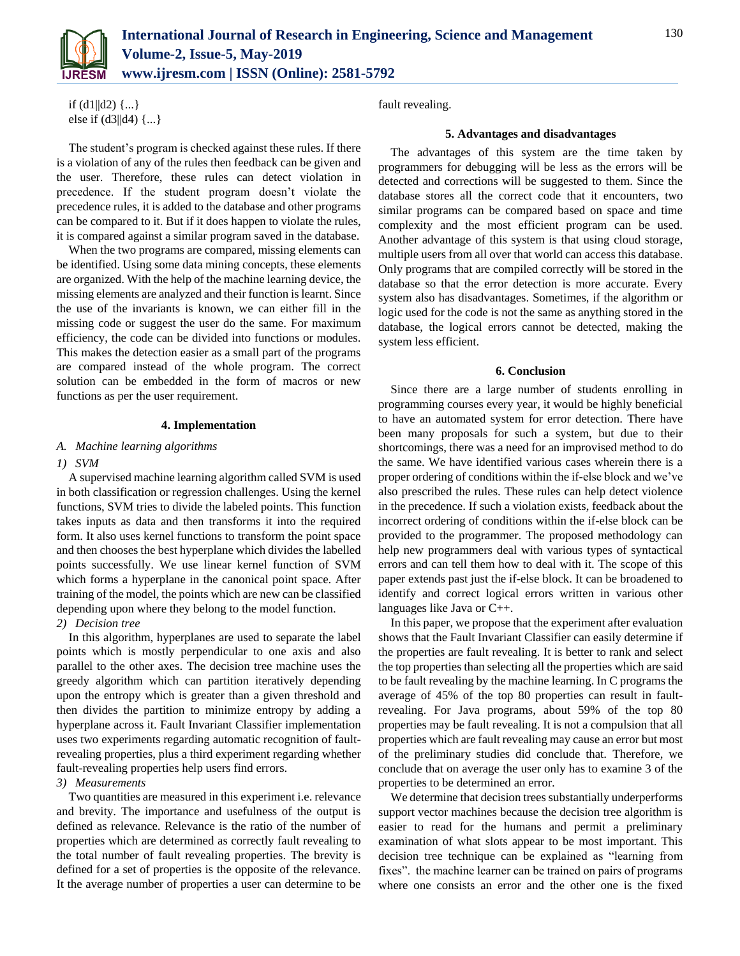

if  $(d1||d2)$   $\{...\}$ else if (d3||d4) {...}

The student's program is checked against these rules. If there is a violation of any of the rules then feedback can be given and the user. Therefore, these rules can detect violation in precedence. If the student program doesn't violate the precedence rules, it is added to the database and other programs can be compared to it. But if it does happen to violate the rules, it is compared against a similar program saved in the database.

When the two programs are compared, missing elements can be identified. Using some data mining concepts, these elements are organized. With the help of the machine learning device, the missing elements are analyzed and their function is learnt. Since the use of the invariants is known, we can either fill in the missing code or suggest the user do the same. For maximum efficiency, the code can be divided into functions or modules. This makes the detection easier as a small part of the programs are compared instead of the whole program. The correct solution can be embedded in the form of macros or new functions as per the user requirement.

# **4. Implementation**

# *A. Machine learning algorithms*

#### *1) SVM*

A supervised machine learning algorithm called SVM is used in both classification or regression challenges. Using the kernel functions, SVM tries to divide the labeled points. This function takes inputs as data and then transforms it into the required form. It also uses kernel functions to transform the point space and then chooses the best hyperplane which divides the labelled points successfully. We use linear kernel function of SVM which forms a hyperplane in the canonical point space. After training of the model, the points which are new can be classified depending upon where they belong to the model function.

# *2) Decision tree*

In this algorithm, hyperplanes are used to separate the label points which is mostly perpendicular to one axis and also parallel to the other axes. The decision tree machine uses the greedy algorithm which can partition iteratively depending upon the entropy which is greater than a given threshold and then divides the partition to minimize entropy by adding a hyperplane across it. Fault Invariant Classifier implementation uses two experiments regarding automatic recognition of faultrevealing properties, plus a third experiment regarding whether fault-revealing properties help users find errors.

# *3) Measurements*

Two quantities are measured in this experiment i.e. relevance and brevity. The importance and usefulness of the output is defined as relevance. Relevance is the ratio of the number of properties which are determined as correctly fault revealing to the total number of fault revealing properties. The brevity is defined for a set of properties is the opposite of the relevance. It the average number of properties a user can determine to be

fault revealing.

## **5. Advantages and disadvantages**

The advantages of this system are the time taken by programmers for debugging will be less as the errors will be detected and corrections will be suggested to them. Since the database stores all the correct code that it encounters, two similar programs can be compared based on space and time complexity and the most efficient program can be used. Another advantage of this system is that using cloud storage, multiple users from all over that world can access this database. Only programs that are compiled correctly will be stored in the database so that the error detection is more accurate. Every system also has disadvantages. Sometimes, if the algorithm or logic used for the code is not the same as anything stored in the database, the logical errors cannot be detected, making the system less efficient.

# **6. Conclusion**

Since there are a large number of students enrolling in programming courses every year, it would be highly beneficial to have an automated system for error detection. There have been many proposals for such a system, but due to their shortcomings, there was a need for an improvised method to do the same. We have identified various cases wherein there is a proper ordering of conditions within the if-else block and we've also prescribed the rules. These rules can help detect violence in the precedence. If such a violation exists, feedback about the incorrect ordering of conditions within the if-else block can be provided to the programmer. The proposed methodology can help new programmers deal with various types of syntactical errors and can tell them how to deal with it. The scope of this paper extends past just the if-else block. It can be broadened to identify and correct logical errors written in various other languages like Java or C++.

In this paper, we propose that the experiment after evaluation shows that the Fault Invariant Classifier can easily determine if the properties are fault revealing. It is better to rank and select the top properties than selecting all the properties which are said to be fault revealing by the machine learning. In C programs the average of 45% of the top 80 properties can result in faultrevealing. For Java programs, about 59% of the top 80 properties may be fault revealing. It is not a compulsion that all properties which are fault revealing may cause an error but most of the preliminary studies did conclude that. Therefore, we conclude that on average the user only has to examine 3 of the properties to be determined an error.

We determine that decision trees substantially underperforms support vector machines because the decision tree algorithm is easier to read for the humans and permit a preliminary examination of what slots appear to be most important. This decision tree technique can be explained as "learning from fixes". the machine learner can be trained on pairs of programs where one consists an error and the other one is the fixed